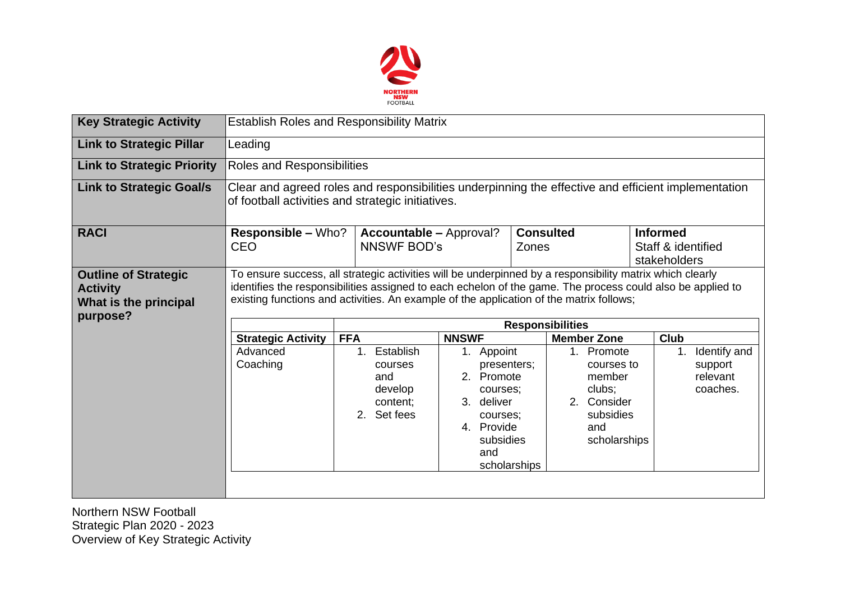

| <b>Key Strategic Activity</b>                                                       | <b>Establish Roles and Responsibility Matrix</b>                                                                                                                                                                                                                                                                                             |                                                                                     |                                                                                                                                 |                                                                                                 |                                                       |  |  |  |  |  |
|-------------------------------------------------------------------------------------|----------------------------------------------------------------------------------------------------------------------------------------------------------------------------------------------------------------------------------------------------------------------------------------------------------------------------------------------|-------------------------------------------------------------------------------------|---------------------------------------------------------------------------------------------------------------------------------|-------------------------------------------------------------------------------------------------|-------------------------------------------------------|--|--|--|--|--|
| <b>Link to Strategic Pillar</b>                                                     | Leading                                                                                                                                                                                                                                                                                                                                      |                                                                                     |                                                                                                                                 |                                                                                                 |                                                       |  |  |  |  |  |
| <b>Link to Strategic Priority</b>                                                   | Roles and Responsibilities                                                                                                                                                                                                                                                                                                                   |                                                                                     |                                                                                                                                 |                                                                                                 |                                                       |  |  |  |  |  |
| <b>Link to Strategic Goal/s</b>                                                     | Clear and agreed roles and responsibilities underpinning the effective and efficient implementation<br>of football activities and strategic initiatives.                                                                                                                                                                                     |                                                                                     |                                                                                                                                 |                                                                                                 |                                                       |  |  |  |  |  |
| <b>RACI</b>                                                                         | <b>Responsible – Who?</b><br><b>CEO</b>                                                                                                                                                                                                                                                                                                      | <b>Accountable – Approval?</b><br><b>NNSWF BOD's</b>                                |                                                                                                                                 | <b>Consulted</b><br>Zones                                                                       | <b>Informed</b><br>Staff & identified<br>stakeholders |  |  |  |  |  |
| <b>Outline of Strategic</b><br><b>Activity</b><br>What is the principal<br>purpose? | To ensure success, all strategic activities will be underpinned by a responsibility matrix which clearly<br>identifies the responsibilities assigned to each echelon of the game. The process could also be applied to<br>existing functions and activities. An example of the application of the matrix follows;<br><b>Responsibilities</b> |                                                                                     |                                                                                                                                 |                                                                                                 |                                                       |  |  |  |  |  |
|                                                                                     | <b>Strategic Activity</b>                                                                                                                                                                                                                                                                                                                    | <b>NNSWF</b><br><b>FFA</b>                                                          |                                                                                                                                 | <b>Member Zone</b>                                                                              | Club                                                  |  |  |  |  |  |
|                                                                                     | Advanced<br>Coaching                                                                                                                                                                                                                                                                                                                         | Establish<br>1 <sub>1</sub><br>courses<br>and<br>develop<br>content;<br>2. Set fees | 1. Appoint<br>presenters;<br>2. Promote<br>courses;<br>3. deliver<br>courses;<br>4. Provide<br>subsidies<br>and<br>scholarships | 1. Promote<br>courses to<br>member<br>clubs;<br>2. Consider<br>subsidies<br>and<br>scholarships | Identify and<br>1.<br>support<br>relevant<br>coaches. |  |  |  |  |  |

Northern NSW Football Strategic Plan 2020 - 2023 Overview of Key Strategic Activity